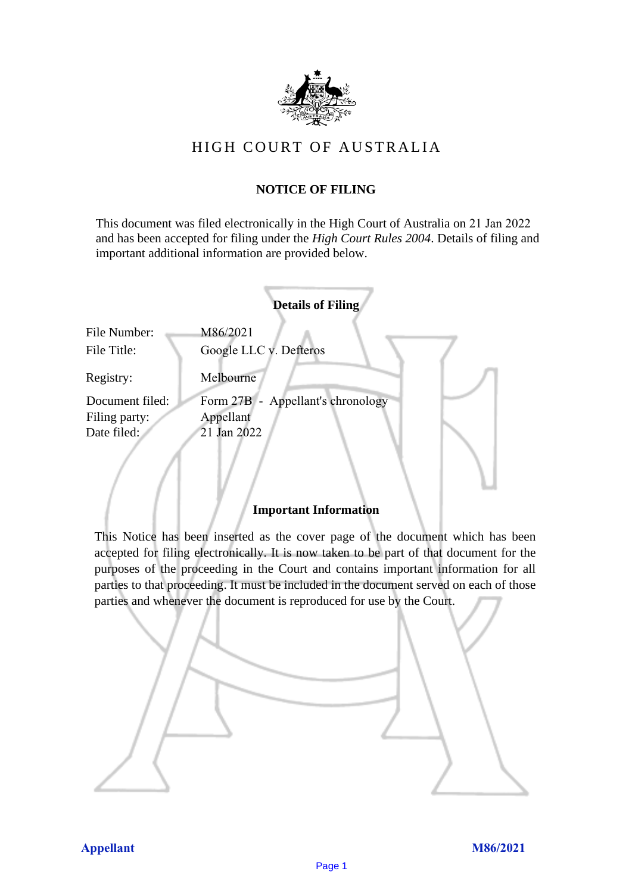

# HIGH COURT OF AU STRALIA HIGH COURT OF AUSTRALIA

## **NOTICE OF FILING** NOTICE OF FILING

This document was filed electronically in the High Court of Australia on 21 Jan 2022 This document was filed electronically in the High Court of Australia 2 and has been accepted for filing under the *High Court Rules 2004*. Details of filing and important additional information are provided below. important additional information are provided below.

|                             | <b>Details of Filing</b>           |
|-----------------------------|------------------------------------|
| File Number:<br>File Title: | M86/2021<br>Google LLC v. Defteros |
| Registry:                   | Melbourne                          |
| Document filed:             | Form 27B - Appellant's chronology  |
| Filing party:               | Appellant                          |
| Date filed:                 | 21 Jan 2022                        |
|                             |                                    |

### **Important Information** Important Information

This Notice has been inserted as the cover page of the document which has been accepted for filing electronically. It is now taken to be part of that document for the purposes of the proceeding in the Court and contains important information for all parties to that proceeding. It must be included in the document served on each of those parties and whenever the document is reproduced for use by the Court. parties and whenever the document is reproduced for use by the Court

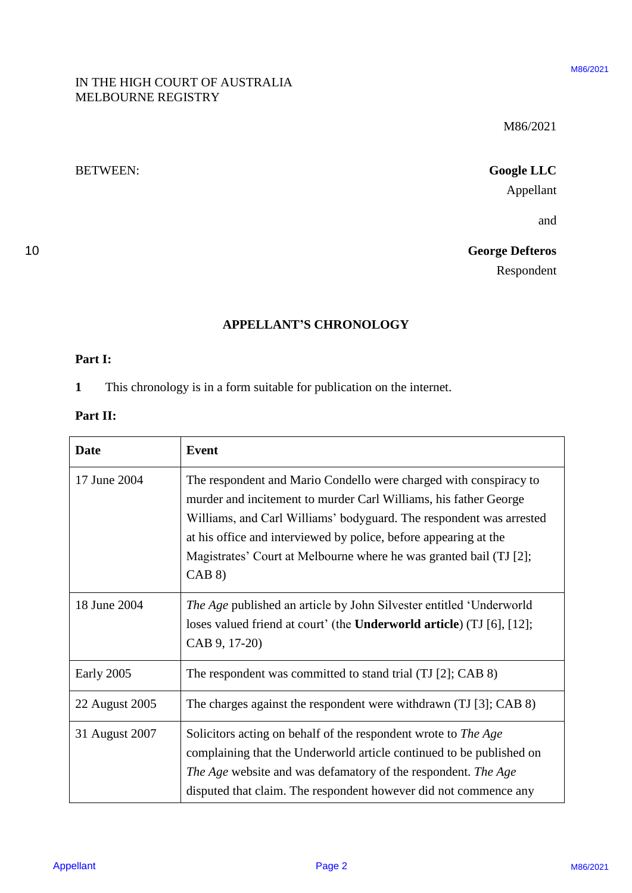### IN THE HIGH COURT OF AUSTRALIA IN THE HIGH COURT OF AUSTRALIA MELBOURNE REGISTRY MELBOURNE REGISTRY

10 **George Defteros** George Defteros Respondent Respondent

### **APPELLANT'S CHRONOLOGY** APPELLANT'S CHRONOLOGY

### **Part I:** Part I:

### **Part II:** Part IT:

| MELBOURNE REGISTRY           | IN THE HIGH COURT OF AUSTRALIA                                                                                                                                                                                                                                                                                                                                  |  |
|------------------------------|-----------------------------------------------------------------------------------------------------------------------------------------------------------------------------------------------------------------------------------------------------------------------------------------------------------------------------------------------------------------|--|
|                              | M86/2021                                                                                                                                                                                                                                                                                                                                                        |  |
| <b>BETWEEN:</b>              | <b>Google LLC</b>                                                                                                                                                                                                                                                                                                                                               |  |
|                              | Appellant                                                                                                                                                                                                                                                                                                                                                       |  |
|                              | and                                                                                                                                                                                                                                                                                                                                                             |  |
|                              | <b>George Defteros</b>                                                                                                                                                                                                                                                                                                                                          |  |
|                              | Respondent                                                                                                                                                                                                                                                                                                                                                      |  |
|                              | <b>APPELLANT'S CHRONOLOGY</b>                                                                                                                                                                                                                                                                                                                                   |  |
| Part I:                      |                                                                                                                                                                                                                                                                                                                                                                 |  |
| $\mathbf{1}$                 | This chronology is in a form suitable for publication on the internet.                                                                                                                                                                                                                                                                                          |  |
| Part II:                     |                                                                                                                                                                                                                                                                                                                                                                 |  |
|                              |                                                                                                                                                                                                                                                                                                                                                                 |  |
|                              |                                                                                                                                                                                                                                                                                                                                                                 |  |
| <b>Date</b>                  | <b>Event</b>                                                                                                                                                                                                                                                                                                                                                    |  |
| 17 June 2004                 | The respondent and Mario Condello were charged with conspiracy to<br>murder and incitement to murder Carl Williams, his father George<br>Williams, and Carl Williams' bodyguard. The respondent was arrested<br>at his office and interviewed by police, before appearing at the<br>Magistrates' Court at Melbourne where he was granted bail (TJ [2];<br>CAB 8 |  |
| 18 June 2004                 | The Age published an article by John Silvester entitled 'Underworld<br>loses valued friend at court' (the Underworld article) (TJ [6], [12];<br>CAB 9, 17-20)                                                                                                                                                                                                   |  |
|                              | The respondent was committed to stand trial (TJ [2]; CAB 8)                                                                                                                                                                                                                                                                                                     |  |
| Early 2005<br>22 August 2005 | The charges against the respondent were withdrawn (TJ [3]; CAB 8)                                                                                                                                                                                                                                                                                               |  |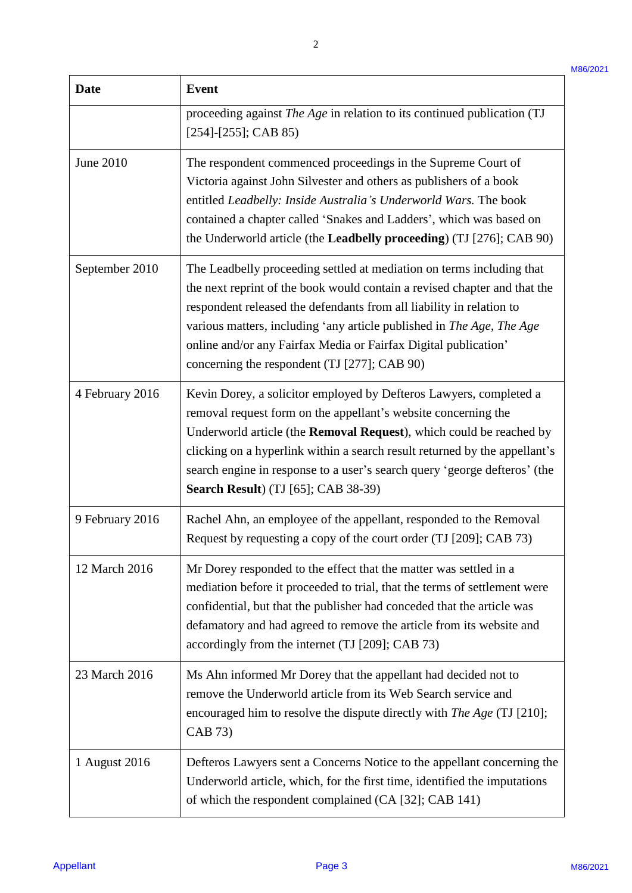| <b>Date</b>     | <b>Event</b><br>proceeding against The Age in relation to its continued publication (TJ<br>$[254]$ - $[255]$ ; CAB 85)                                                                                                                                                                                                                                                                                                 |  |  |
|-----------------|------------------------------------------------------------------------------------------------------------------------------------------------------------------------------------------------------------------------------------------------------------------------------------------------------------------------------------------------------------------------------------------------------------------------|--|--|
|                 |                                                                                                                                                                                                                                                                                                                                                                                                                        |  |  |
| June 2010       | The respondent commenced proceedings in the Supreme Court of<br>Victoria against John Silvester and others as publishers of a book<br>entitled Leadbelly: Inside Australia's Underworld Wars. The book<br>contained a chapter called 'Snakes and Ladders', which was based on<br>the Underworld article (the Leadbelly proceeding) (TJ [276]; CAB 90)                                                                  |  |  |
| September 2010  | The Leadbelly proceeding settled at mediation on terms including that<br>the next reprint of the book would contain a revised chapter and that the<br>respondent released the defendants from all liability in relation to<br>various matters, including 'any article published in The Age, The Age<br>online and/or any Fairfax Media or Fairfax Digital publication'<br>concerning the respondent (TJ [277]; CAB 90) |  |  |
| 4 February 2016 | Kevin Dorey, a solicitor employed by Defteros Lawyers, completed a<br>removal request form on the appellant's website concerning the<br>Underworld article (the Removal Request), which could be reached by<br>clicking on a hyperlink within a search result returned by the appellant's<br>search engine in response to a user's search query 'george defteros' (the<br><b>Search Result</b> ) (TJ [65]; CAB 38-39)  |  |  |
| 9 February 2016 | Rachel Ahn, an employee of the appellant, responded to the Removal<br>Request by requesting a copy of the court order (TJ [209]; CAB 73)                                                                                                                                                                                                                                                                               |  |  |
| 12 March 2016   | Mr Dorey responded to the effect that the matter was settled in a<br>mediation before it proceeded to trial, that the terms of settlement were<br>confidential, but that the publisher had conceded that the article was<br>defamatory and had agreed to remove the article from its website and<br>accordingly from the internet (TJ [209]; CAB 73)                                                                   |  |  |
| 23 March 2016   | Ms Ahn informed Mr Dorey that the appellant had decided not to<br>remove the Underworld article from its Web Search service and<br>encouraged him to resolve the dispute directly with The Age (TJ [210];<br>CAB 73)                                                                                                                                                                                                   |  |  |
| 1 August 2016   | Defteros Lawyers sent a Concerns Notice to the appellant concerning the<br>Underworld article, which, for the first time, identified the imputations<br>of which the respondent complained (CA [32]; CAB 141)                                                                                                                                                                                                          |  |  |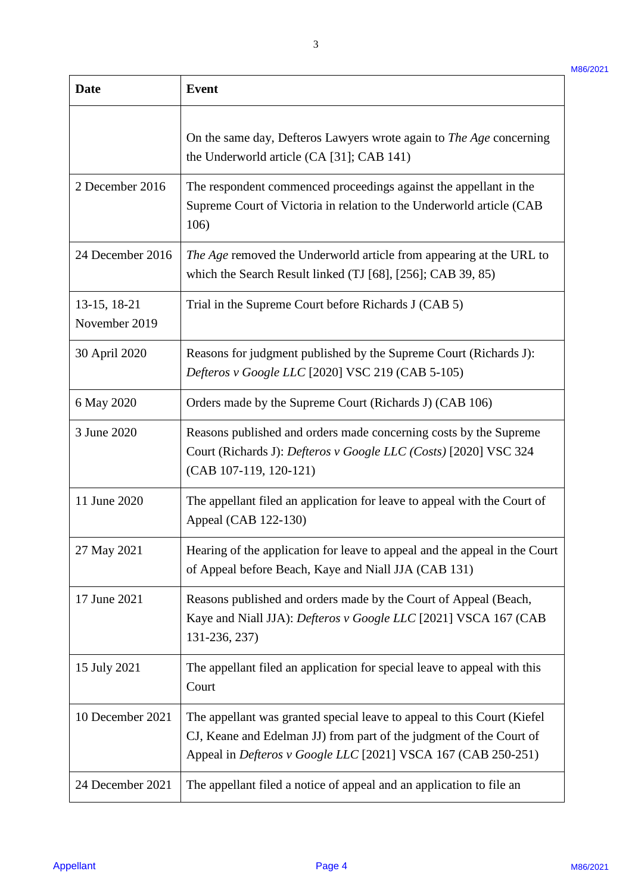| <b>Date</b>                   | <b>Event</b>                                                                                                                                                                                                     |  |  |
|-------------------------------|------------------------------------------------------------------------------------------------------------------------------------------------------------------------------------------------------------------|--|--|
|                               | On the same day, Defteros Lawyers wrote again to The Age concerning<br>the Underworld article (CA [31]; CAB 141)                                                                                                 |  |  |
| 2 December 2016               | The respondent commenced proceedings against the appellant in the<br>Supreme Court of Victoria in relation to the Underworld article (CAB<br>106)                                                                |  |  |
| 24 December 2016              | The Age removed the Underworld article from appearing at the URL to<br>which the Search Result linked (TJ [68], [256]; CAB 39, 85)                                                                               |  |  |
| 13-15, 18-21<br>November 2019 | Trial in the Supreme Court before Richards J (CAB 5)                                                                                                                                                             |  |  |
| 30 April 2020                 | Reasons for judgment published by the Supreme Court (Richards J):<br>Defteros v Google LLC [2020] VSC 219 (CAB 5-105)                                                                                            |  |  |
| 6 May 2020                    | Orders made by the Supreme Court (Richards J) (CAB 106)                                                                                                                                                          |  |  |
| 3 June 2020                   | Reasons published and orders made concerning costs by the Supreme<br>Court (Richards J): Defteros v Google LLC (Costs) [2020] VSC 324<br>(CAB 107-119, 120-121)                                                  |  |  |
| 11 June 2020                  | The appellant filed an application for leave to appeal with the Court of<br>Appeal (CAB 122-130)                                                                                                                 |  |  |
| 27 May 2021                   | Hearing of the application for leave to appeal and the appeal in the Court<br>of Appeal before Beach, Kaye and Niall JJA (CAB 131)                                                                               |  |  |
| 17 June 2021                  | Reasons published and orders made by the Court of Appeal (Beach,<br>Kaye and Niall JJA): Defteros v Google LLC [2021] VSCA 167 (CAB<br>131-236, 237)                                                             |  |  |
| 15 July 2021                  | The appellant filed an application for special leave to appeal with this<br>Court                                                                                                                                |  |  |
| 10 December 2021              | The appellant was granted special leave to appeal to this Court (Kiefel)<br>CJ, Keane and Edelman JJ) from part of the judgment of the Court of<br>Appeal in Defteros v Google LLC [2021] VSCA 167 (CAB 250-251) |  |  |
| 24 December 2021              | The appellant filed a notice of appeal and an application to file an                                                                                                                                             |  |  |